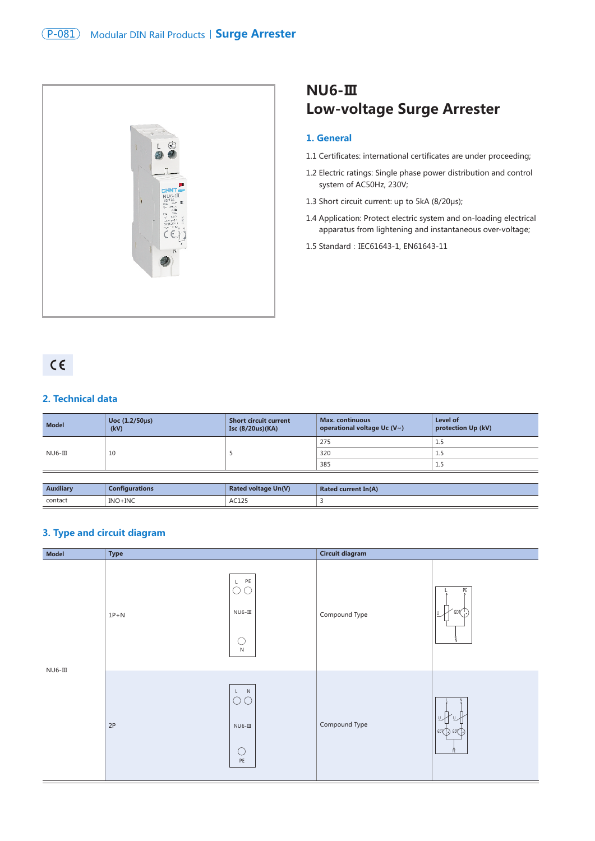

# **NU6-Ⅲ Low-voltage Surge Arrester**

#### **1. General**

- 1.1 Certificates: international certificates are under proceeding;
- 1.2 Electric ratings: Single phase power distribution and control system of AC50Hz, 230V;
- 1.3 Short circuit current: up to 5kA (8/20μs);
- 1.4 Application: Protect electric system and on-loading electrical apparatus from lightening and instantaneous over-voltage;
- 1.5 Standard: IEC61643-1, EN61643-11

# $C \in$

#### **2. Technical data**

| <b>Model</b> | Uoc $(1.2/50 \mu s)$<br>(kV) | <b>Short circuit current</b><br>Isc (8/20us)(KA) | <b>Max.</b> continuous<br>operational voltage Uc $(V \sim)$ | Level of<br>protection Up (kV) |
|--------------|------------------------------|--------------------------------------------------|-------------------------------------------------------------|--------------------------------|
| $NUS-TI$     | 10                           |                                                  | 275                                                         | L.5                            |
|              |                              |                                                  | 320                                                         | 1.5                            |
|              |                              |                                                  | 385                                                         | 1.5                            |

| <b>Auxiliary</b> | <b>Configurations</b> | <b>Rated voltage Un(V)</b> | <b>Rated current In(A)</b> |
|------------------|-----------------------|----------------------------|----------------------------|
| contact<br>.     | INO+INC               | AC125                      |                            |

### **3. Type and circuit diagram**